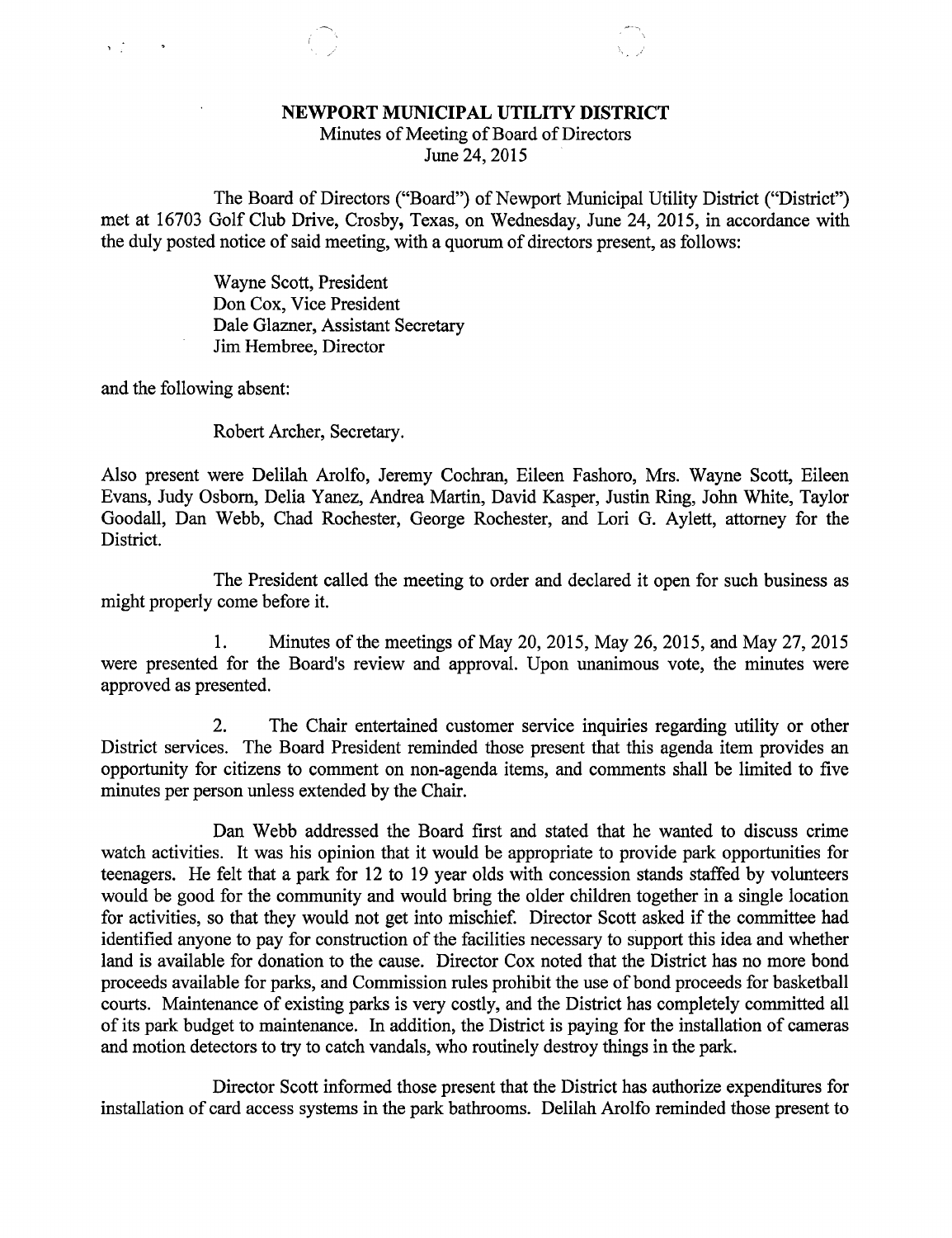## NEWPORT MUNICIPAL UTILITY DISTRICT

Minutes of Meeting of Board of Directors June 24, 2015

The Board of Directors ("Board") of Newport Municipal Utility District ("District") met at 16703 Golf Club Drive, Crosby, Texas, on Wednesday, June 24, 2015, in accordance with the duly posted notice of said meeting, with a quorum of directors present, as follows:

> Wayne Scott, President Don Cox, Vice President Dale Glazner, Assistant Secretary Jim Hembree, Director

and the following absent:

 $\sqrt{2}$  ,  $\sqrt{2}$ 

Robert Archer, Secretary.

Also present were Delilah Arolfo, Jeremy Cochran, Eileen Fashoro, Mrs. Wayne Scott, Eileen Evans, Judy Osborn, Delia Yanez, Andrea Martin, David Kasper, Justin Ring, John White, Taylor Goodall, Dan Webb, Chad Rochester, George Rochester, and Lori G. Aylett, attorney for the District.

The President called the meeting to order and declared it open for such business as might properly come before it.

1. Minutes of the meetings of May 20, 2015, May 26, 2015, and May 27, 2015 were presented for the Board's review and approval. Upon unanimous vote, the minutes were approved as presented.

2. The Chair entertained customer service inquiries regarding utility or other District services. The Board President reminded those present that this agenda item provides an opportunity for citizens to comment on non-agenda items, and comments shall be limited to five minutes per person unless extended by the Chair.

Dan Webb addressed the Board first and stated that he wanted to discuss crime watch activities. It was his opinion that it would be appropriate to provide park opportunities for teenagers. He felt that a park for 12 to 19 year olds with concession stands staffed by volunteers would be good for the community and would bring the older children together in a single location for activities, so that they would not get into mischief. Director Scott asked if the committee had identified anyone to pay for construction of the facilities necessary to support this idea and whether land is available for donation to the cause. Director Cox noted that the District has no more bond proceeds available for parks, and Commission rules prohibit the use of bond proceeds for basketball courts. Maintenance of existing parks is very costly, and the District has completely committed all of its park budget to maintenance. In addition, the District is paying for the installation of cameras and motion detectors to try to catch vandals, who routinely destroy things in the park.

Director Scott informed those present that the District has authorize expenditures for installation of card access systems in the park bathrooms. Delilah Arolfo reminded those present to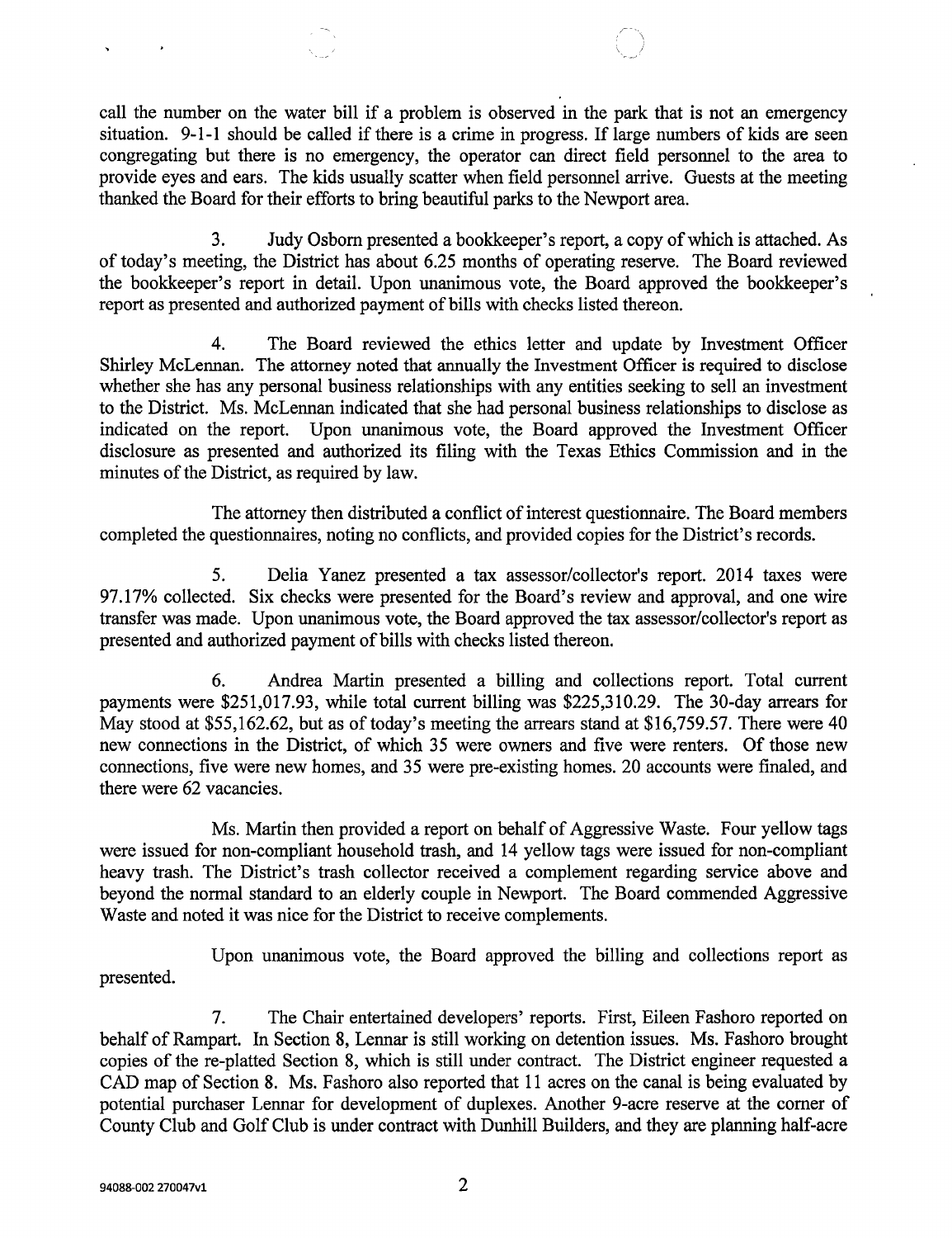call the number on the water bill if a problem is observed in the park that is not an emergency situation. 9-1-1 should be called if there is a crime in progress. If large numbers of kids are seen congregating but there is no emergency, the operator can direct field personnel to the area to provide eyes and ears. The kids usually scatter when field personnel arrive. Guests at the meeting thanked the Board for their efforts to bring beautiful parks to the Newport area.

3. Judy Osborn presented a bookkeeper's report, a copy of which is attached. As of today's meeting, the District has about 6.25 months of operating reserve. The Board reviewed the bookkeeper's report in detail. Upon unanimous vote, the Board approved the bookkeeper's report as presented and authorized payment of bills with checks listed thereon.

4. The Board reviewed the ethics letter and update by Investment Officer Shirley McLennan. The attorney noted that annually the Investment Officer is required to disclose whether she has any personal business relationships with any entities seeking to sell an investment to the District. Ms. McLennan indicated that she had personal business relationships to disclose as indicated on the report. Upon unanimous vote, the Board approved the Investment Officer disclosure as presented and authorized its filing with the Texas Ethics Commission and in the minutes of the District, as required by law.

The attorney then distributed a conflict of interest questionnaire. The Board members completed the questionnaires, noting no conflicts, and provided copies for the District's records.

5. Delia Yanez presented a tax assessor/collector's report. 2014 taxes were 97.17% collected. Six checks were presented for the Board's review and approval, and one wire transfer was made. Upon unanimous vote, the Board approved the tax assessor/collector's report as presented and authorized payment of bills with checks listed thereon.

6. Andrea Martin presented a billing and collections report. Total current payments were \$251,017.93, while total current billing was \$225,310.29. The 30-day arrears for May stood at \$55,162.62, but as of today's meeting the arrears stand at \$16,759.57. There were 40 new connections in the District, of which 35 were owners and five were renters. Of those new connections, five were new homes, and 35 were pre-existing homes. 20 accounts were finaled, and there were 62 vacancies.

Ms. Martin then provided a report on behalf of Aggressive Waste. Four yellow tags were issued for non-compliant household trash, and 14 yellow tags were issued for non-compliant heavy trash. The District's trash collector received a complement regarding service above and beyond the normal standard to an elderly couple in Newport. The Board commended Aggressive Waste and noted it was nice for the District to receive complements.

Upon unanimous vote, the Board approved the billing and collections report as presented.

7. The Chair entertained developers' reports. First, Eileen Fashoro reported on behalf of Rampart. In Section 8, Lennar is still working on detention issues. Ms. Fashoro brought copies of the re-platted Section 8, which is still under contract. The District engineer requested a CAD map of Section 8. Ms. Fashoro also reported that 11 acres on the canal is being evaluated by potential purchaser Lennar for development of duplexes. Another 9-acre reserve at the corner of County Club and Golf Club is under contract with Dunhill Builders, and they are planning half-acre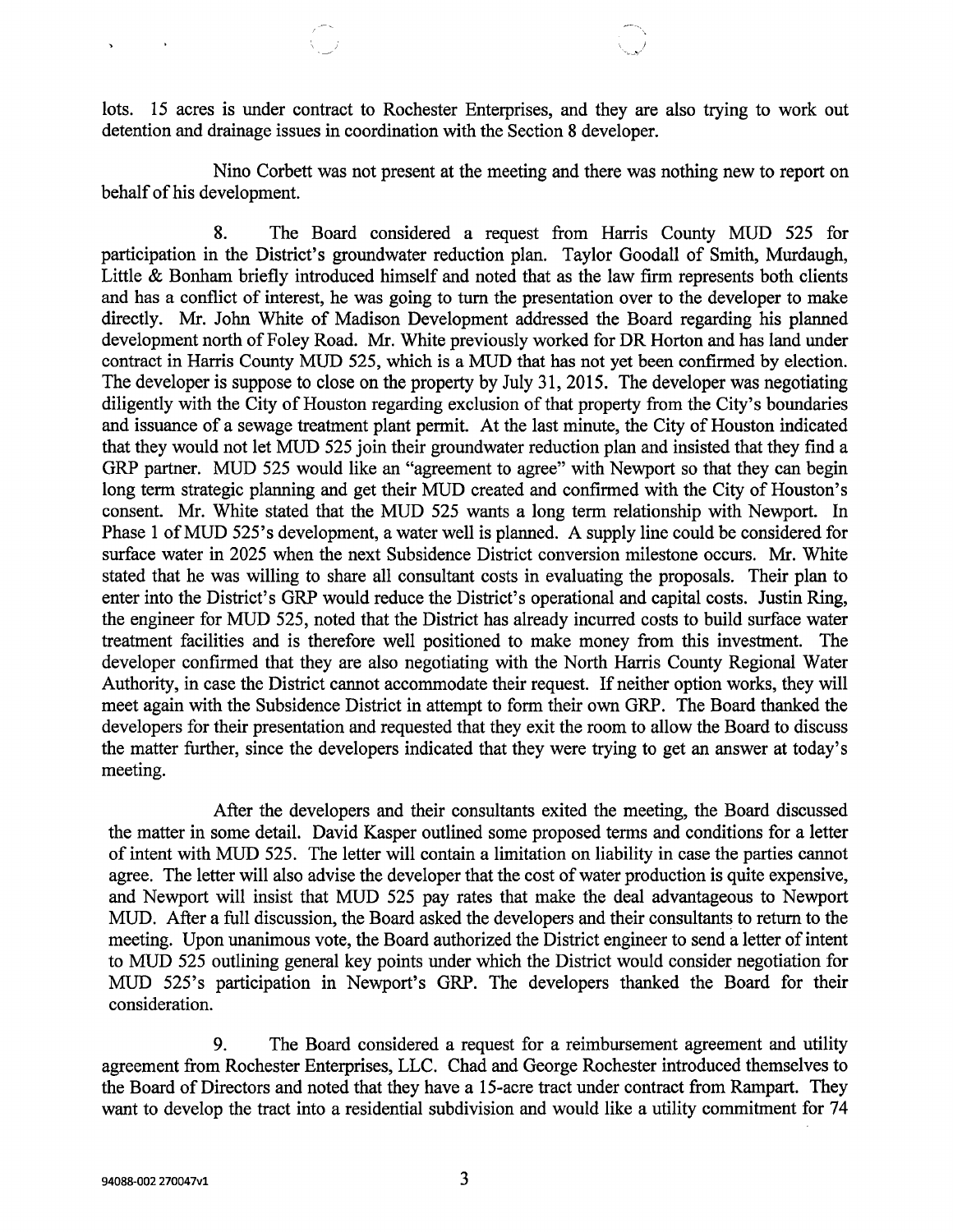lots. 15 acres is under contract to Rochester Enterprises, and they are also trying to work out detention and drainage issues in coordination with the Section 8 developer.

Nino Corbett was not present at the meeting and there was nothing new to report on behalf of his development.

8. The Board considered a request from Harris County MUD 525 for participation in the District's groundwater reduction plan. Taylor Goodall of Smith, Murdaugh, Little & Bonham briefly introduced himself and noted that as the law firm represents both clients and has a conflict of interest, he was going to turn the presentation over to the developer to make directly. Mr. John White of Madison Development addressed the Board regarding his planned development north of Foley Road. Mr. White previously worked for DR Horton and has land under contract in Harris County MUD 525, which is a MUD that has not yet been confirmed by election. The developer is suppose to close on the property by July 31, 2015. The developer was negotiating diligently with the City of Houston regarding exclusion of that property from the City's boundaries and issuance of a sewage treatment plant permit. At the last minute, the City of Houston indicated that they would not let MUD 525 join their groundwater reduction plan and insisted that they find a GRP partner. MUD 525 would like an "agreement to agree" with Newport so that they can begin long term strategic planning and get their MUD created and confirmed with the City of Houston's consent. Mr. White stated that the MUD 525 wants a long term relationship with Newport. In Phase 1 of MUD 525's development, a water well is planned. A supply line could be considered for surface water in 2025 when the next Subsidence District conversion milestone occurs. Mr. White stated that he was willing to share all consultant costs in evaluating the proposals. Their plan to enter into the District's GRP would reduce the District's operational and capital costs. Justin Ring, the engineer for MUD 525, noted that the District has already incurred costs to build surface water treatment facilities and is therefore well positioned to make money from this investment. The developer confirmed that they are also negotiating with the North Harris County Regional Water Authority, in case the District cannot accommodate their request. If neither option works, they will meet again with the Subsidence District in attempt to form their own GRP. The Board thanked the developers for their presentation and requested that they exit the room to allow the Board to discuss the matter further, since the developers indicated that they were trying to get an answer at today's meeting.

After the developers and their consultants exited the meeting, the Board discussed the matter in some detail. David Kasper outlined some proposed terms and conditions for a letter of intent with MUD 525. The letter will contain a limitation on liability in case the parties cannot agree. The letter will also advise the developer that the cost of water production is quite expensive, and Newport will insist that MUD 525 pay rates that make the deal advantageous to Newport MUD. After a full discussion, the Board asked the developers and their consultants to return to the meeting. Upon unanimous vote, the Board authorized the District engineer to send a letter of intent to MUD 525 outlining general key points under which the District would consider negotiation for MUD 525's participation in Newport's GRP. The developers thanked the Board for their consideration.

9. The Board considered a request for a reimbursement agreement and utility agreement from Rochester Enterprises, LLC. Chad and George Rochester introduced themselves to the Board of Directors and noted that they have a 15-acre tract under contract from Rampart. They want to develop the tract into a residential subdivision and would like a utility commitment for 74